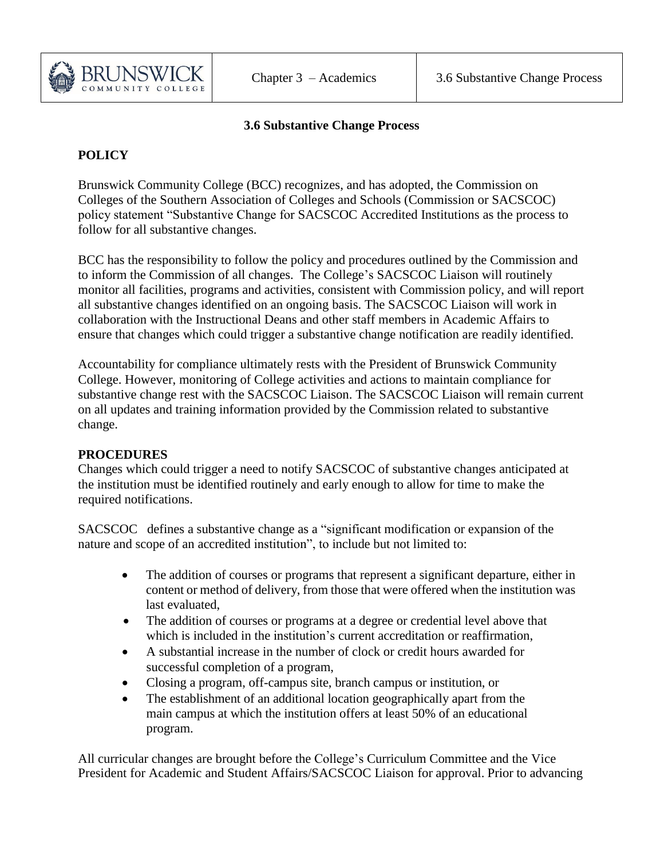

## **3.6 Substantive Change Process**

## **POLICY**

Brunswick Community College (BCC) recognizes, and has adopted, the Commission on Colleges of the Southern Association of Colleges and Schools (Commission or SACSCOC) policy statement "Substantive Change for SACSCOC Accredited Institutions as the process to follow for all substantive changes.

BCC has the responsibility to follow the policy and procedures outlined by the Commission and to inform the Commission of all changes. The College's SACSCOC Liaison will routinely monitor all facilities, programs and activities, consistent with Commission policy, and will report all substantive changes identified on an ongoing basis. The SACSCOC Liaison will work in collaboration with the Instructional Deans and other staff members in Academic Affairs to ensure that changes which could trigger a substantive change notification are readily identified.

Accountability for compliance ultimately rests with the President of Brunswick Community College. However, monitoring of College activities and actions to maintain compliance for substantive change rest with the SACSCOC Liaison. The SACSCOC Liaison will remain current on all updates and training information provided by the Commission related to substantive change.

## **PROCEDURES**

Changes which could trigger a need to notify SACSCOC of substantive changes anticipated at the institution must be identified routinely and early enough to allow for time to make the required notifications.

SACSCOC defines a substantive change as a "significant modification or expansion of the nature and scope of an accredited institution", to include but not limited to:

- The addition of courses or programs that represent a significant departure, either in content or method of delivery, from those that were offered when the institution was last evaluated,
- The addition of courses or programs at a degree or credential level above that which is included in the institution's current accreditation or reaffirmation,
- A substantial increase in the number of clock or credit hours awarded for successful completion of a program,
- Closing a program, off-campus site, branch campus or institution, or
- The establishment of an additional location geographically apart from the main campus at which the institution offers at least 50% of an educational program.

All curricular changes are brought before the College's Curriculum Committee and the Vice President for Academic and Student Affairs/SACSCOC Liaison for approval. Prior to advancing